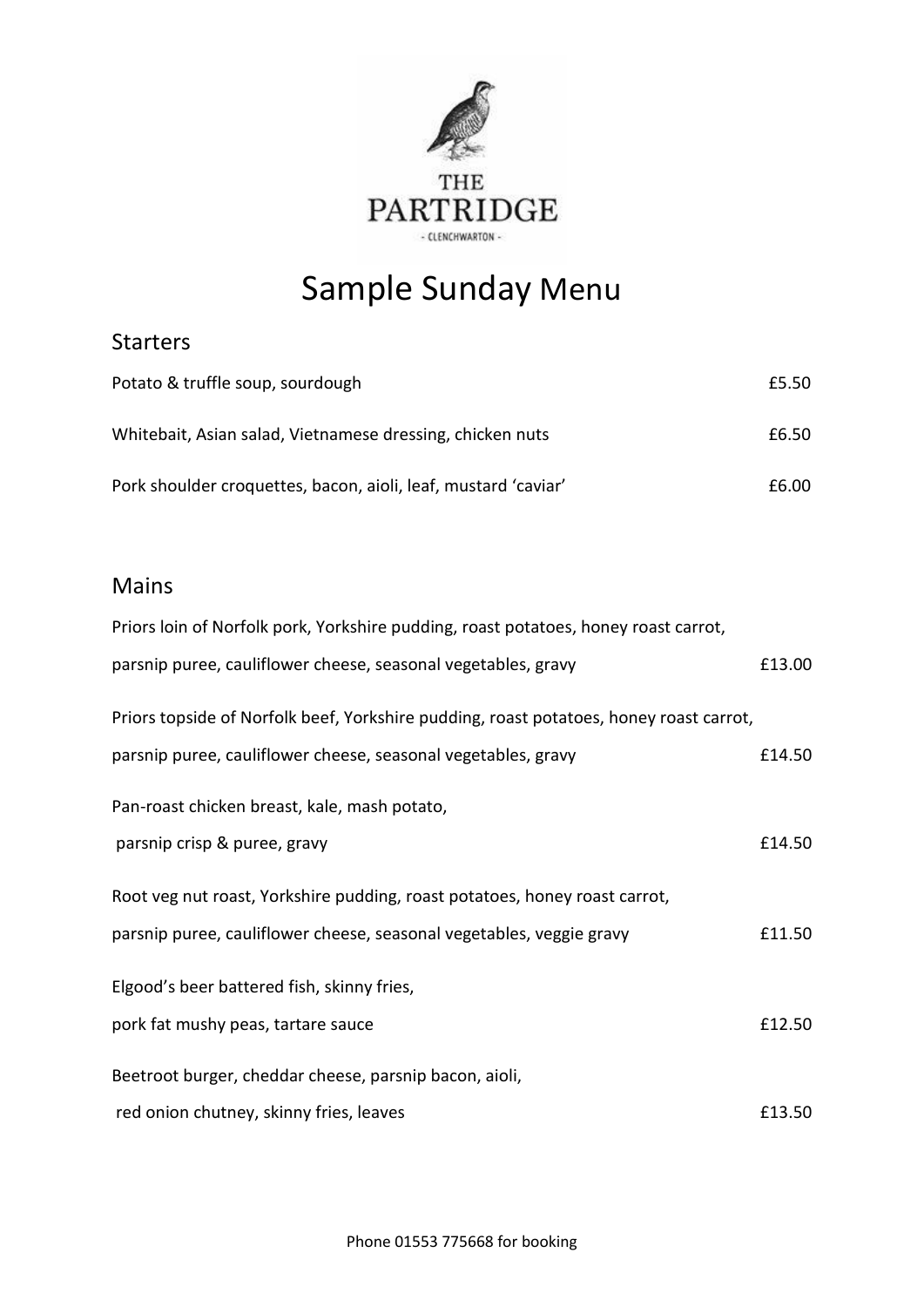

## Sample Sunday Menu

## Starters

| Potato & truffle soup, sourdough                               | £5.50 |
|----------------------------------------------------------------|-------|
| Whitebait, Asian salad, Vietnamese dressing, chicken nuts      | £6.50 |
| Pork shoulder croquettes, bacon, aioli, leaf, mustard 'caviar' | £6.00 |

## Mains

| Priors loin of Norfolk pork, Yorkshire pudding, roast potatoes, honey roast carrot,    |        |
|----------------------------------------------------------------------------------------|--------|
| parsnip puree, cauliflower cheese, seasonal vegetables, gravy                          | £13.00 |
| Priors topside of Norfolk beef, Yorkshire pudding, roast potatoes, honey roast carrot, |        |
| parsnip puree, cauliflower cheese, seasonal vegetables, gravy                          | £14.50 |
| Pan-roast chicken breast, kale, mash potato,                                           |        |
| parsnip crisp & puree, gravy                                                           | £14.50 |
| Root veg nut roast, Yorkshire pudding, roast potatoes, honey roast carrot,             |        |
| parsnip puree, cauliflower cheese, seasonal vegetables, veggie gravy                   | £11.50 |
| Elgood's beer battered fish, skinny fries,                                             |        |
| pork fat mushy peas, tartare sauce                                                     | £12.50 |
| Beetroot burger, cheddar cheese, parsnip bacon, aioli,                                 |        |
| red onion chutney, skinny fries, leaves                                                | £13.50 |